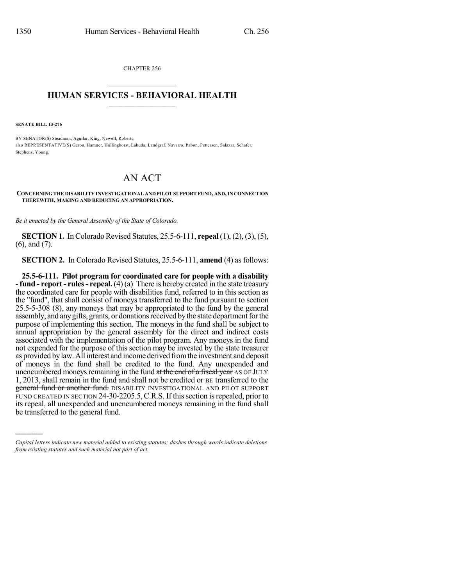CHAPTER 256  $\mathcal{L}_\text{max}$  . The set of the set of the set of the set of the set of the set of the set of the set of the set of the set of the set of the set of the set of the set of the set of the set of the set of the set of the set

## **HUMAN SERVICES - BEHAVIORAL HEALTH**  $\frac{1}{2}$  ,  $\frac{1}{2}$  ,  $\frac{1}{2}$  ,  $\frac{1}{2}$  ,  $\frac{1}{2}$  ,  $\frac{1}{2}$  ,  $\frac{1}{2}$

**SENATE BILL 13-276**

)))))

BY SENATOR(S) Steadman, Aguilar, King, Newell, Roberts; also REPRESENTATIVE(S) Gerou, Hamner, Hullinghorst, Labuda, Landgraf, Navarro, Pabon, Pettersen, Salazar, Schafer, Stephens, Young.

## AN ACT

**CONCERNINGTHE DISABILITY INVESTIGATIONAL AND PILOT SUPPORT FUND, AND,INCONNECTION THEREWITH, MAKING AND REDUCING AN APPROPRIATION.**

*Be it enacted by the General Assembly of the State of Colorado:*

**SECTION 1.** In Colorado Revised Statutes, 25.5-6-111, **repeal** (1), (2), (3), (5), (6), and (7).

**SECTION 2.** In Colorado Revised Statutes, 25.5-6-111, **amend** (4) as follows:

**25.5-6-111. Pilot program for coordinated care for people with a disability - fund - report - rules- repeal.** (4) (a) There is hereby created in the state treasury the coordinated care for people with disabilities fund, referred to in this section as the "fund", that shall consist of moneys transferred to the fund pursuant to section 25.5-5-308 (8), any moneys that may be appropriated to the fund by the general assembly, and any gifts, grants, or donations received by the state department for the purpose of implementing this section. The moneys in the fund shall be subject to annual appropriation by the general assembly for the direct and indirect costs associated with the implementation of the pilot program. Any moneys in the fund not expended for the purpose of this section may be invested by the state treasurer as provided bylaw.Allinterest and income derived fromthe investment and deposit of moneys in the fund shall be credited to the fund. Any unexpended and unencumbered moneys remaining in the fund at the end of a fiscal year AS OF JULY 1, 2013, shall remain in the fund and shall not be credited or BE transferred to the general fund or another fund. DISABILITY INVESTIGATIONAL AND PILOT SUPPORT FUND CREATED IN SECTION 24-30-2205.5,C.R.S. If thissection isrepealed, prior to its repeal, all unexpended and unencumbered moneys remaining in the fund shall be transferred to the general fund.

*Capital letters indicate new material added to existing statutes; dashes through words indicate deletions from existing statutes and such material not part of act.*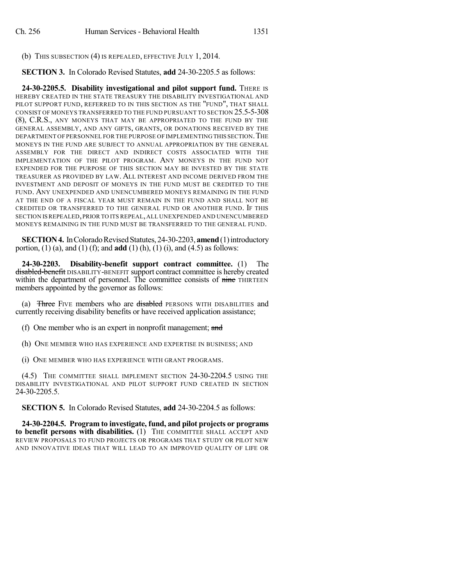(b) THIS SUBSECTION (4) IS REPEALED, EFFECTIVE JULY 1, 2014.

**SECTION 3.** In Colorado Revised Statutes, **add** 24-30-2205.5 as follows:

**24-30-2205.5. Disability investigational and pilot support fund.** THERE IS HEREBY CREATED IN THE STATE TREASURY THE DISABILITY INVESTIGATIONAL AND PILOT SUPPORT FUND, REFERRED TO IN THIS SECTION AS THE "FUND", THAT SHALL CONSIST OF MONEYS TRANSFERRED TO THE FUND PURSUANT TO SECTION 25.5-5-308 (8), C.R.S., ANY MONEYS THAT MAY BE APPROPRIATED TO THE FUND BY THE GENERAL ASSEMBLY, AND ANY GIFTS, GRANTS, OR DONATIONS RECEIVED BY THE DEPARTMENT OF PERSONNEL FOR THE PURPOSE OF IMPLEMENTING THIS SECTION.THE MONEYS IN THE FUND ARE SUBJECT TO ANNUAL APPROPRIATION BY THE GENERAL ASSEMBLY FOR THE DIRECT AND INDIRECT COSTS ASSOCIATED WITH THE IMPLEMENTATION OF THE PILOT PROGRAM. ANY MONEYS IN THE FUND NOT EXPENDED FOR THE PURPOSE OF THIS SECTION MAY BE INVESTED BY THE STATE TREASURER AS PROVIDED BY LAW. ALL INTEREST AND INCOME DERIVED FROM THE INVESTMENT AND DEPOSIT OF MONEYS IN THE FUND MUST BE CREDITED TO THE FUND. ANY UNEXPENDED AND UNENCUMBERED MONEYS REMAINING IN THE FUND AT THE END OF A FISCAL YEAR MUST REMAIN IN THE FUND AND SHALL NOT BE CREDITED OR TRANSFERRED TO THE GENERAL FUND OR ANOTHER FUND. IF THIS SECTION ISREPEALED,PRIOR TO ITS REPEAL,ALL UNEXPENDED AND UNENCUMBERED MONEYS REMAINING IN THE FUND MUST BE TRANSFERRED TO THE GENERAL FUND.

**SECTION 4.** In Colorado Revised Statutes, 24-30-2203, **amend** (1) introductory portion, (1) (a), and (1) (f); and **add** (1) (h), (1) (i), and (4.5) as follows:

**24-30-2203. Disability-benefit support contract committee.** (1) The disabled-benefit DISABILITY-BENEFIT support contract committee is hereby created within the department of personnel. The committee consists of nine THIRTEEN members appointed by the governor as follows:

(a) Three FIVE members who are disabled PERSONS WITH DISABILITIES and currently receiving disability benefits or have received application assistance;

(f) One member who is an expert in nonprofit management; and

(h) ONE MEMBER WHO HAS EXPERIENCE AND EXPERTISE IN BUSINESS; AND

(i) ONE MEMBER WHO HAS EXPERIENCE WITH GRANT PROGRAMS.

(4.5) THE COMMITTEE SHALL IMPLEMENT SECTION 24-30-2204.5 USING THE DISABILITY INVESTIGATIONAL AND PILOT SUPPORT FUND CREATED IN SECTION 24-30-2205.5.

**SECTION 5.** In Colorado Revised Statutes, **add** 24-30-2204.5 as follows:

**24-30-2204.5. Program to investigate, fund, and pilot projects or programs to benefit persons with disabilities.** (1) THE COMMITTEE SHALL ACCEPT AND REVIEW PROPOSALS TO FUND PROJECTS OR PROGRAMS THAT STUDY OR PILOT NEW AND INNOVATIVE IDEAS THAT WILL LEAD TO AN IMPROVED QUALITY OF LIFE OR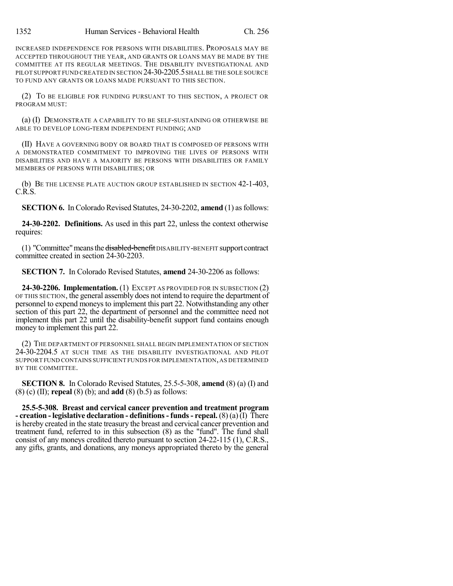INCREASED INDEPENDENCE FOR PERSONS WITH DISABILITIES. PROPOSALS MAY BE ACCEPTED THROUGHOUT THE YEAR, AND GRANTS OR LOANS MAY BE MADE BY THE COMMITTEE AT ITS REGULAR MEETINGS. THE DISABILITY INVESTIGATIONAL AND PILOT SUPPORT FUND CREATED IN SECTION 24-30-2205.5 SHALL BE THE SOLE SOURCE TO FUND ANY GRANTS OR LOANS MADE PURSUANT TO THIS SECTION.

(2) TO BE ELIGIBLE FOR FUNDING PURSUANT TO THIS SECTION, A PROJECT OR PROGRAM MUST:

(a) (I) DEMONSTRATE A CAPABILITY TO BE SELF-SUSTAINING OR OTHERWISE BE ABLE TO DEVELOP LONG-TERM INDEPENDENT FUNDING; AND

(II) HAVE A GOVERNING BODY OR BOARD THAT IS COMPOSED OF PERSONS WITH A DEMONSTRATED COMMITMENT TO IMPROVING THE LIVES OF PERSONS WITH DISABILITIES AND HAVE A MAJORITY BE PERSONS WITH DISABILITIES OR FAMILY MEMBERS OF PERSONS WITH DISABILITIES; OR

(b) BE THE LICENSE PLATE AUCTION GROUP ESTABLISHED IN SECTION 42-1-403, C.R.S.

**SECTION 6.** In Colorado Revised Statutes, 24-30-2202, **amend** (1) as follows:

**24-30-2202. Definitions.** As used in this part 22, unless the context otherwise requires:

(1) "Committee" means the <del>disabled-benefit</del> DISABILITY-BENEFIT support contract committee created in section 24-30-2203.

**SECTION 7.** In Colorado Revised Statutes, **amend** 24-30-2206 as follows:

**24-30-2206. Implementation.** (1) EXCEPT AS PROVIDED FOR IN SUBSECTION (2) OF THIS SECTION, the general assembly does not intend to require the department of personnel to expend moneys to implement this part 22. Notwithstanding any other section of this part 22, the department of personnel and the committee need not implement this part 22 until the disability-benefit support fund contains enough money to implement this part 22.

(2) THE DEPARTMENT OF PERSONNEL SHALL BEGIN IMPLEMENTATION OF SECTION 24-30-2204.5 AT SUCH TIME AS THE DISABILITY INVESTIGATIONAL AND PILOT SUPPORT FUND CONTAINS SUFFICIENT FUNDS FOR IMPLEMENTATION,AS DETERMINED BY THE COMMITTEE.

**SECTION 8.** In Colorado Revised Statutes, 25.5-5-308, **amend** (8) (a) (I) and (8) (c) (II); **repeal** (8) (b); and **add** (8) (b.5) as follows:

**25.5-5-308. Breast and cervical cancer prevention and treatment program - creation - legislative declaration - definitions- funds- repeal.** (8) (a)(I) There is hereby created in the state treasury the breast and cervical cancer prevention and treatment fund, referred to in this subsection (8) as the "fund". The fund shall consist of any moneys credited thereto pursuant to section 24-22-115 (1), C.R.S., any gifts, grants, and donations, any moneys appropriated thereto by the general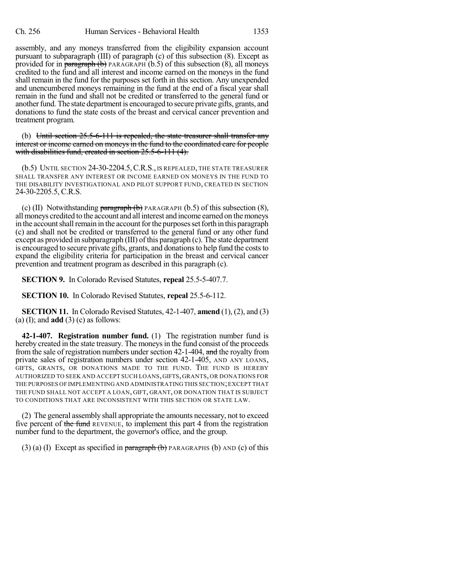assembly, and any moneys transferred from the eligibility expansion account pursuant to subparagraph (III) of paragraph (c) of this subsection (8). Except as provided for in paragraph  $\left(\mathbf{b}\right)$  PARAGRAPH (b.5) of this subsection (8), all moneys credited to the fund and all interest and income earned on the moneys in the fund shall remain in the fund for the purposes set forth in this section. Any unexpended and unencumbered moneys remaining in the fund at the end of a fiscal year shall remain in the fund and shall not be credited or transferred to the general fund or another fund. The state department is encouraged to secure private gifts, grants, and donations to fund the state costs of the breast and cervical cancer prevention and treatment program.

(b) Until section 25.5-6-111 is repealed, the state treasurer shall transfer any interest or income carned on moneys in the fund to the coordinated care for people with disabilities fund, created in section 25.5-6-111 (4).

(b.5) UNTIL SECTION 24-30-2204.5,C.R.S., IS REPEALED, THE STATE TREASURER SHALL TRANSFER ANY INTEREST OR INCOME EARNED ON MONEYS IN THE FUND TO THE DISABILITY INVESTIGATIONAL AND PILOT SUPPORT FUND, CREATED IN SECTION 24-30-2205.5, C.R.S.

(c) (II) Notwithstanding  $\frac{\text{param}(\mathbf{b})}{\text{param}(\mathbf{b})}$  PARAGRAPH (b.5) of this subsection (8), all moneys credited to the account and allinterest and income earned on themoneys in the account shall remain in the account for the purposes set forth in this paragraph (c) and shall not be credited or transferred to the general fund or any other fund except as provided in subparagraph (III) of this paragraph (c). The state department is encouraged to secure private gifts, grants, and donationsto help fund the coststo expand the eligibility criteria for participation in the breast and cervical cancer prevention and treatment program as described in this paragraph (c).

**SECTION 9.** In Colorado Revised Statutes, **repeal** 25.5-5-407.7.

**SECTION 10.** In Colorado Revised Statutes, **repeal** 25.5-6-112.

**SECTION 11.** In Colorado Revised Statutes, 42-1-407, **amend** (1), (2), and (3) (a) (I); and **add** (3) (c) as follows:

**42-1-407. Registration number fund.** (1) The registration number fund is hereby created in the state treasury. The moneys in the fund consist of the proceeds from the sale of registration numbers under section 42-1-404, and the royalty from private sales of registration numbers under section 42-1-405, AND ANY LOANS, GIFTS, GRANTS, OR DONATIONS MADE TO THE FUND. THE FUND IS HEREBY AUTHORIZED TO SEEK AND ACCEPT SUCH LOANS, GIFTS, GRANTS, OR DONATIONS FOR THE PURPOSES OF IMPLEMENTING AND ADMINISTRATING THIS SECTION;EXCEPT THAT THE FUND SHALL NOT ACCEPT A LOAN, GIFT, GRANT, OR DONATION THAT IS SUBJECT TO CONDITIONS THAT ARE INCONSISTENT WITH THIS SECTION OR STATE LAW.

(2) The general assembly shall appropriate the amounts necessary, not to exceed five percent of the fund REVENUE, to implement this part 4 from the registration number fund to the department, the governor's office, and the group.

(3) (a) (I) Except as specified in paragraph  $(b)$  PARAGRAPHS (b) AND (c) of this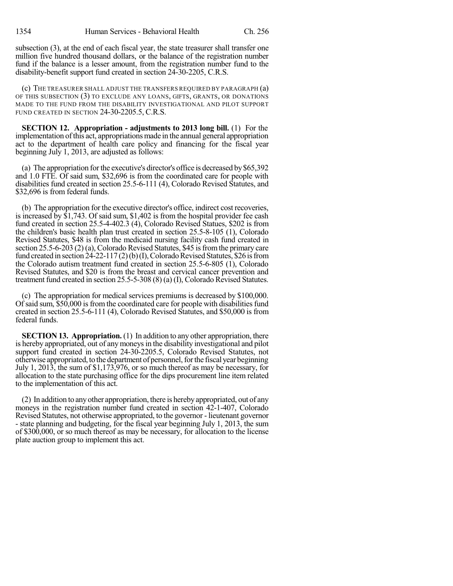subsection (3), at the end of each fiscal year, the state treasurer shall transfer one million five hundred thousand dollars, or the balance of the registration number fund if the balance is a lesser amount, from the registration number fund to the disability-benefit support fund created in section 24-30-2205, C.R.S.

(c) THE TREASURER SHALL ADJUST THE TRANSFERS REQUIRED BY PARAGRAPH (a) OF THIS SUBSECTION (3) TO EXCLUDE ANY LOANS, GIFTS, GRANTS, OR DONATIONS MADE TO THE FUND FROM THE DISABILITY INVESTIGATIONAL AND PILOT SUPPORT FUND CREATED IN SECTION 24-30-2205.5, C.R.S.

**SECTION 12. Appropriation - adjustments to 2013 long bill.** (1) For the implementation ofthis act, appropriations made in the annual general appropriation act to the department of health care policy and financing for the fiscal year beginning July 1, 2013, are adjusted as follows:

(a) The appropriation forthe executive's director's office is decreased by\$65,392 and 1.0 FTE. Of said sum, \$32,696 is from the coordinated care for people with disabilities fund created in section 25.5-6-111 (4), Colorado Revised Statutes, and \$32,696 is from federal funds.

(b) The appropriation forthe executive director's office, indirect cost recoveries, is increased by \$1,743. Of said sum, \$1,402 is from the hospital provider fee cash fund created in section 25.5-4-402.3 (4), Colorado Revised Statues, \$202 is from the children's basic health plan trust created in section 25.5-8-105 (1), Colorado Revised Statutes, \$48 is from the medicaid nursing facility cash fund created in section 25.5-6-203 (2) (a), Colorado Revised Statutes, \$45 is from the primary care fund created in section  $24-22-117(2)(b)(I)$ , Colorado Revised Statutes, \$26 is from the Colorado autism treatment fund created in section 25.5-6-805 (1), Colorado Revised Statutes, and \$20 is from the breast and cervical cancer prevention and treatment fund created in section 25.5-5-308 (8) (a) (I), Colorado Revised Statutes.

(c) The appropriation for medical services premiums is decreased by \$100,000. Of said sum, \$50,000 is from the coordinated care for people with disabilities fund created in section 25.5-6-111 (4), Colorado Revised Statutes, and \$50,000 is from federal funds.

**SECTION 13. Appropriation.** (1) In addition to any other appropriation, there is hereby appropriated, out of any moneys in the disability investigational and pilot support fund created in section 24-30-2205.5, Colorado Revised Statutes, not otherwise appropriated, to the department of personnel, for the fiscal year beginning July 1, 2013, the sum of \$1,173,976, or so much thereof as may be necessary, for allocation to the state purchasing office for the dips procurement line item related to the implementation of this act.

(2) In addition to anyother appropriation, there is herebyappropriated, out of any moneys in the registration number fund created in section 42-1-407, Colorado Revised Statutes, not otherwise appropriated, to the governor - lieutenant governor - state planning and budgeting, for the fiscal year beginning July 1, 2013, the sum of \$300,000, or so much thereof as may be necessary, for allocation to the license plate auction group to implement this act.